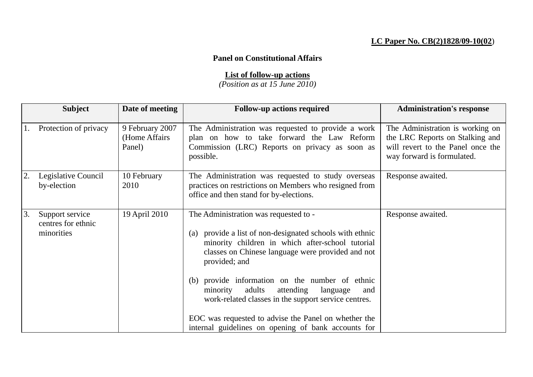## **LC Paper No. CB(2)1828/09-10(02**)

## **Panel on Constitutional Affairs**

## **List of follow-up actions**

*(Position as at 15 June 2010)*

|    | <b>Subject</b>                                      | Date of meeting                             | <b>Follow-up actions required</b>                                                                                                                                                                                                                                                 | <b>Administration's response</b>                                                                                                       |
|----|-----------------------------------------------------|---------------------------------------------|-----------------------------------------------------------------------------------------------------------------------------------------------------------------------------------------------------------------------------------------------------------------------------------|----------------------------------------------------------------------------------------------------------------------------------------|
|    | Protection of privacy                               | 9 February 2007<br>(Home Affairs)<br>Panel) | The Administration was requested to provide a work<br>plan on how to take forward the Law Reform<br>Commission (LRC) Reports on privacy as soon as<br>possible.                                                                                                                   | The Administration is working on<br>the LRC Reports on Stalking and<br>will revert to the Panel once the<br>way forward is formulated. |
| 2. | Legislative Council<br>by-election                  | 10 February<br>2010                         | The Administration was requested to study overseas<br>practices on restrictions on Members who resigned from<br>office and then stand for by-elections.                                                                                                                           | Response awaited.                                                                                                                      |
| 3. | Support service<br>centres for ethnic<br>minorities | 19 April 2010                               | The Administration was requested to -<br>provide a list of non-designated schools with ethnic<br>(a)<br>minority children in which after-school tutorial<br>classes on Chinese language were provided and not<br>provided; and<br>(b) provide information on the number of ethnic | Response awaited.                                                                                                                      |
|    |                                                     |                                             | minority<br>adults<br>attending<br>language<br>and<br>work-related classes in the support service centres.<br>EOC was requested to advise the Panel on whether the<br>internal guidelines on opening of bank accounts for                                                         |                                                                                                                                        |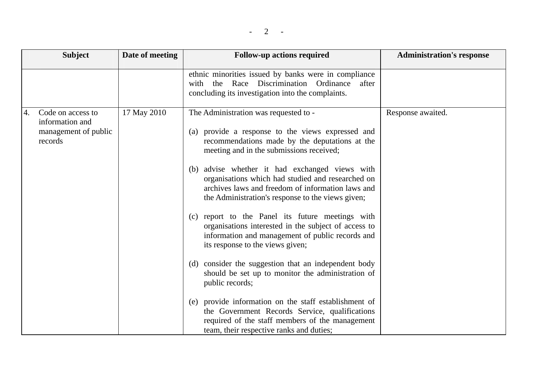| <b>Subject</b>                                                                | Date of meeting | <b>Follow-up actions required</b>                                                                                                                                                                                                                                                                                                                                                                                                                                                                                                                                                                                                                                                                                                                                                                      | <b>Administration's response</b> |
|-------------------------------------------------------------------------------|-----------------|--------------------------------------------------------------------------------------------------------------------------------------------------------------------------------------------------------------------------------------------------------------------------------------------------------------------------------------------------------------------------------------------------------------------------------------------------------------------------------------------------------------------------------------------------------------------------------------------------------------------------------------------------------------------------------------------------------------------------------------------------------------------------------------------------------|----------------------------------|
|                                                                               |                 | ethnic minorities issued by banks were in compliance<br>Race Discrimination Ordinance<br>with the<br>after<br>concluding its investigation into the complaints.                                                                                                                                                                                                                                                                                                                                                                                                                                                                                                                                                                                                                                        |                                  |
| Code on access to<br>4.<br>information and<br>management of public<br>records | 17 May 2010     | The Administration was requested to -<br>(a) provide a response to the views expressed and<br>recommendations made by the deputations at the<br>meeting and in the submissions received;<br>(b) advise whether it had exchanged views with<br>organisations which had studied and researched on<br>archives laws and freedom of information laws and<br>the Administration's response to the views given;<br>(c) report to the Panel its future meetings with<br>organisations interested in the subject of access to<br>information and management of public records and<br>its response to the views given;<br>(d) consider the suggestion that an independent body<br>should be set up to monitor the administration of<br>public records;<br>(e) provide information on the staff establishment of | Response awaited.                |
|                                                                               |                 | the Government Records Service, qualifications<br>required of the staff members of the management<br>team, their respective ranks and duties;                                                                                                                                                                                                                                                                                                                                                                                                                                                                                                                                                                                                                                                          |                                  |